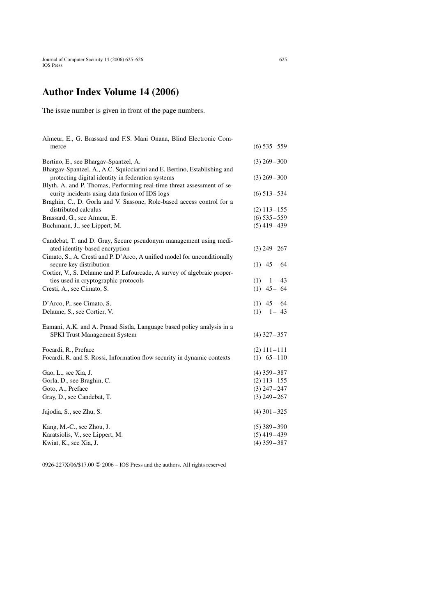## **Author Index Volume 14 (2006)**

The issue number is given in front of the page numbers.

| Aïmeur, E., G. Brassard and F.S. Mani Onana, Blind Electronic Com-       |                 |
|--------------------------------------------------------------------------|-----------------|
| merce                                                                    | $(6)$ 535 – 559 |
| Bertino, E., see Bhargav-Spantzel, A.                                    | $(3)$ 269 – 300 |
| Bhargav-Spantzel, A., A.C. Squicciarini and E. Bertino, Establishing and |                 |
| protecting digital identity in federation systems                        | $(3)$ 269 – 300 |
| Blyth, A. and P. Thomas, Performing real-time threat assessment of se-   |                 |
| curity incidents using data fusion of IDS logs                           | $(6)$ 513 – 534 |
| Braghin, C., D. Gorla and V. Sassone, Role-based access control for a    |                 |
| distributed calculus                                                     | $(2)$ 113 – 155 |
| Brassard, G., see Aïmeur, E.                                             | $(6)$ 535 - 559 |
| Buchmann, J., see Lippert, M.                                            | $(5)$ 419-439   |
| Candebat, T. and D. Gray, Secure pseudonym management using medi-        |                 |
| ated identity-based encryption                                           | $(3)$ 249 – 267 |
| Cimato, S., A. Cresti and P. D'Arco, A unified model for unconditionally |                 |
| secure key distribution                                                  | $(1)$ 45 - 64   |
| Cortier, V., S. Delaune and P. Lafourcade, A survey of algebraic proper- |                 |
| ties used in cryptographic protocols                                     | $(1)$ 1 - 43    |
| Cresti, A., see Cimato, S.                                               | $(1)$ 45 - 64   |
| D'Arco, P., see Cimato, S.                                               | $(1)$ 45 - 64   |
| Delaune, S., see Cortier, V.                                             | $(1)$ 1 - 43    |
| Eamani, A.K. and A. Prasad Sistla, Language based policy analysis in a   |                 |
| <b>SPKI Trust Management System</b>                                      | $(4)$ 327 – 357 |
| Focardi, R., Preface                                                     | $(2)$ 111 - 111 |
| Focardi, R. and S. Rossi, Information flow security in dynamic contexts  | $(1)$ 65 – 110  |
|                                                                          |                 |
| Gao, L., see Xia, J.                                                     | $(4)$ 359 – 387 |
| Gorla, D., see Braghin, C.                                               | $(2)$ 113 – 155 |
| Goto, A., Preface                                                        | $(3)$ 247 – 247 |
| Gray, D., see Candebat, T.                                               | $(3)$ 249 - 267 |
| Jajodia, S., see Zhu, S.                                                 | $(4)$ 301 – 325 |
| Kang, M.-C., see Zhou, J.                                                | $(5)$ 389 – 390 |
| Karatsiolis, V., see Lippert, M.                                         | $(5)$ 419-439   |
| Kwiat, K., see Xia, J.                                                   | $(4)$ 359 – 387 |

0926-227X/06/\$17.00  $\odot$  2006 – IOS Press and the authors. All rights reserved